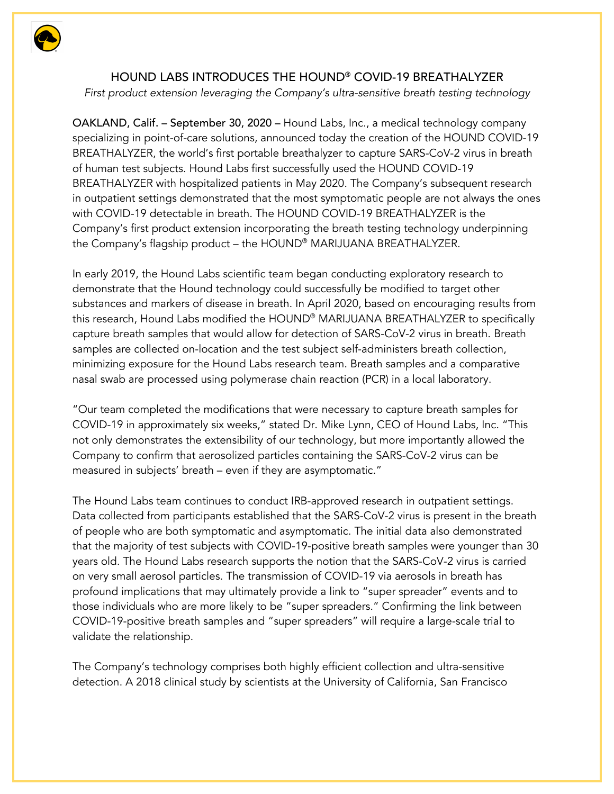

## HOUND LABS INTRODUCES THE HOUND® COVID-19 BREATHALYZER

*First product extension leveraging the Company's ultra-sensitive breath testing technology*

OAKLAND, Calif. – September 30, 2020 – Hound Labs, Inc., a medical technology company specializing in point-of-care solutions, announced today the creation of the HOUND COVID-19 BREATHALYZER, the world's first portable breathalyzer to capture SARS-CoV-2 virus in breath of human test subjects. Hound Labs first successfully used the HOUND COVID-19 BREATHALYZER with hospitalized patients in May 2020. The Company's subsequent research in outpatient settings demonstrated that the most symptomatic people are not always the ones with COVID-19 detectable in breath. The HOUND COVID-19 BREATHALYZER is the Company's first product extension incorporating the breath testing technology underpinning the Company's flagship product – the HOUND® MARIJUANA BREATHALYZER.

In early 2019, the Hound Labs scientific team began conducting exploratory research to demonstrate that the Hound technology could successfully be modified to target other substances and markers of disease in breath. In April 2020, based on encouraging results from this research, Hound Labs modified the HOUND® MARIJUANA BREATHALYZER to specifically capture breath samples that would allow for detection of SARS-CoV-2 virus in breath. Breath samples are collected on-location and the test subject self-administers breath collection, minimizing exposure for the Hound Labs research team. Breath samples and a comparative nasal swab are processed using polymerase chain reaction (PCR) in a local laboratory.

"Our team completed the modifications that were necessary to capture breath samples for COVID-19 in approximately six weeks," stated Dr. Mike Lynn, CEO of Hound Labs, Inc. "This not only demonstrates the extensibility of our technology, but more importantly allowed the Company to confirm that aerosolized particles containing the SARS-CoV-2 virus can be measured in subjects' breath – even if they are asymptomatic."

The Hound Labs team continues to conduct IRB-approved research in outpatient settings. Data collected from participants established that the SARS-CoV-2 virus is present in the breath of people who are both symptomatic and asymptomatic. The initial data also demonstrated that the majority of test subjects with COVID-19-positive breath samples were younger than 30 years old. The Hound Labs research supports the notion that the SARS-CoV-2 virus is carried on very small aerosol particles. The transmission of COVID-19 via aerosols in breath has profound implications that may ultimately provide a link to "super spreader" events and to those individuals who are more likely to be "super spreaders." Confirming the link between COVID-19-positive breath samples and "super spreaders" will require a large-scale trial to validate the relationship.

The Company's technology comprises both highly efficient collection and ultra-sensitive detection. A 2018 clinical study by scientists at the University of California, San Francisco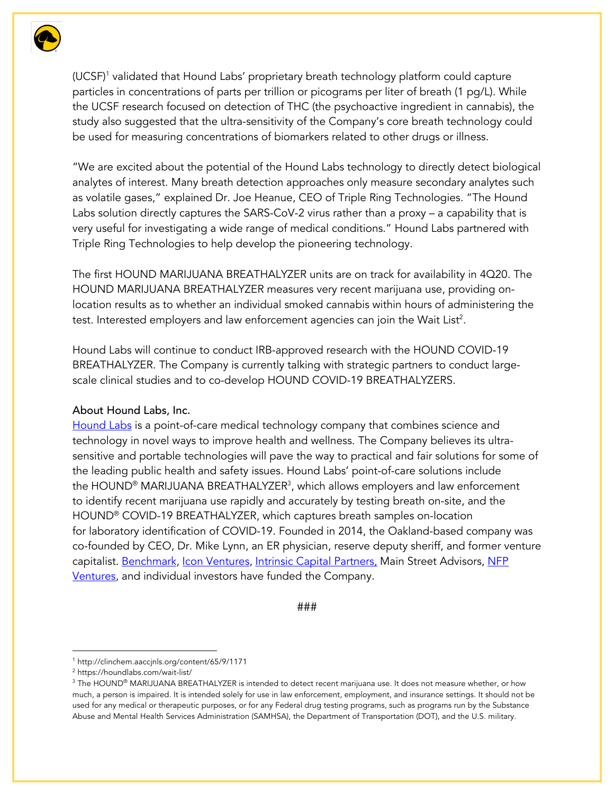

(UCSF)1 validated that Hound Labs' proprietary breath technology platform could capture particles in concentrations of parts per trillion or picograms per liter of breath (1 pg/L). While the UCSF research focused on detection of THC (the psychoactive ingredient in cannabis), the study also suggested that the ultra-sensitivity of the Company's core breath technology could be used for measuring concentrations of biomarkers related to other drugs or illness.

"We are excited about the potential of the Hound Labs technology to directly detect biological analytes of interest. Many breath detection approaches only measure secondary analytes such as volatile gases," explained Dr. Joe Heanue, CEO of Triple Ring Technologies. "The Hound Labs solution directly captures the SARS-CoV-2 virus rather than a proxy – a capability that is very useful for investigating a wide range of medical conditions." Hound Labs partnered with Triple Ring Technologies to help develop the pioneering technology.

The first HOUND MARIJUANA BREATHALYZER units are on track for availability in 4Q20. The HOUND MARIJUANA BREATHALYZER measures very recent marijuana use, providing onlocation results as to whether an individual smoked cannabis within hours of administering the test. Interested employers and law enforcement agencies can join the Wait List<sup>2</sup>.

Hound Labs will continue to conduct IRB-approved research with the HOUND COVID-19 BREATHALYZER. The Company is currently talking with strategic partners to conduct largescale clinical studies and to co-develop HOUND COVID-19 BREATHALYZERS.

## About Hound Labs, Inc.

Hound Labs is a point-of-care medical technology company that combines science and technology in novel ways to improve health and wellness. The Company believes its ultrasensitive and portable technologies will pave the way to practical and fair solutions for some of the leading public health and safety issues. Hound Labs' point-of-care solutions include the HOUND® MARIJUANA BREATHALYZER3 , which allows employers and law enforcement to identify recent marijuana use rapidly and accurately by testing breath on-site, and the HOUND® COVID-19 BREATHALYZER, which captures breath samples on-location for laboratory identification of COVID-19. Founded in 2014, the Oakland-based company was co-founded by CEO, Dr. Mike Lynn, an ER physician, reserve deputy sheriff, and former venture capitalist. Benchmark, Icon Ventures, Intrinsic Capital Partners, Main Street Advisors, NFP Ventures, and individual investors have funded the Company.

###

<sup>1</sup> http://clinchem.aaccjnls.org/content/65/9/1171

<sup>2</sup> https://houndlabs.com/wait-list/

 $3$  The HOUND® MARIJUANA BREATHALYZER is intended to detect recent marijuana use. It does not measure whether, or how much, a person is impaired. It is intended solely for use in law enforcement, employment, and insurance settings. It should not be used for any medical or therapeutic purposes, or for any Federal drug testing programs, such as programs run by the Substance Abuse and Mental Health Services Administration (SAMHSA), the Department of Transportation (DOT), and the U.S. military.